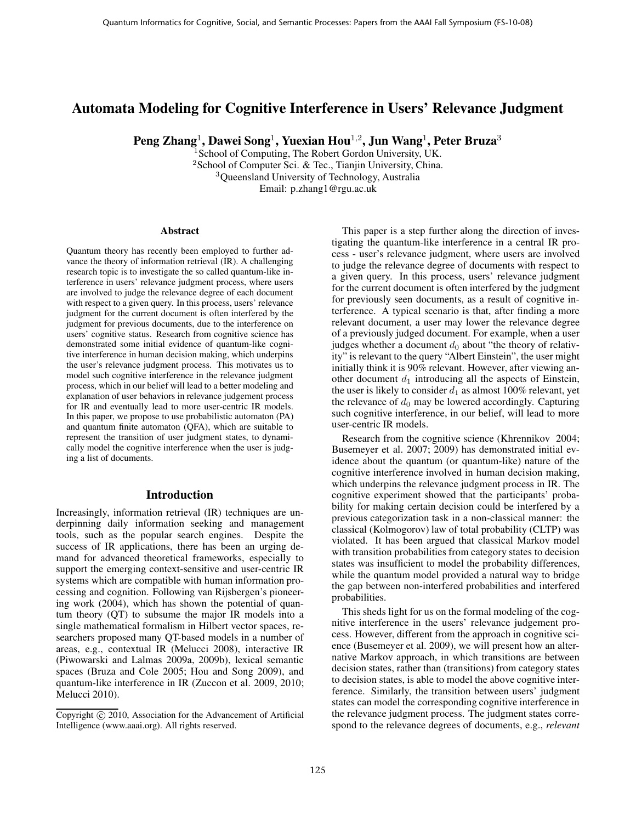# Automata Modeling for Cognitive Interference in Users' Relevance Judgment

Peng Zhang<sup>1</sup>, Dawei Song<sup>1</sup>, Yuexian Hou<sup>1,2</sup>, Jun Wang<sup>1</sup>, Peter Bruza<sup>3</sup>

<sup>1</sup> School of Computing, The Robert Gordon University, UK. <sup>2</sup>School of Computer Sci. & Tec., Tianjin University, China. <sup>3</sup>Queensland University of Technology, Australia Email: p.zhang1@rgu.ac.uk

#### Abstract

Quantum theory has recently been employed to further advance the theory of information retrieval (IR). A challenging research topic is to investigate the so called quantum-like interference in users' relevance judgment process, where users are involved to judge the relevance degree of each document with respect to a given query. In this process, users' relevance judgment for the current document is often interfered by the judgment for previous documents, due to the interference on users' cognitive status. Research from cognitive science has demonstrated some initial evidence of quantum-like cognitive interference in human decision making, which underpins the user's relevance judgment process. This motivates us to model such cognitive interference in the relevance judgment process, which in our belief will lead to a better modeling and explanation of user behaviors in relevance judgement process for IR and eventually lead to more user-centric IR models. In this paper, we propose to use probabilistic automaton (PA) and quantum finite automaton (QFA), which are suitable to represent the transition of user judgment states, to dynamically model the cognitive interference when the user is judging a list of documents.

### Introduction

Increasingly, information retrieval (IR) techniques are underpinning daily information seeking and management tools, such as the popular search engines. Despite the success of IR applications, there has been an urging demand for advanced theoretical frameworks, especially to support the emerging context-sensitive and user-centric IR systems which are compatible with human information processing and cognition. Following van Rijsbergen's pioneering work (2004), which has shown the potential of quantum theory (QT) to subsume the major IR models into a single mathematical formalism in Hilbert vector spaces, researchers proposed many QT-based models in a number of areas, e.g., contextual IR (Melucci 2008), interactive IR (Piwowarski and Lalmas 2009a, 2009b), lexical semantic spaces (Bruza and Cole 2005; Hou and Song 2009), and quantum-like interference in IR (Zuccon et al. 2009, 2010; Melucci 2010).

This paper is a step further along the direction of investigating the quantum-like interference in a central IR process - user's relevance judgment, where users are involved to judge the relevance degree of documents with respect to a given query. In this process, users' relevance judgment for the current document is often interfered by the judgment for previously seen documents, as a result of cognitive interference. A typical scenario is that, after finding a more relevant document, a user may lower the relevance degree of a previously judged document. For example, when a user judges whether a document  $d_0$  about "the theory of relativity" is relevant to the query "Albert Einstein", the user might initially think it is 90% relevant. However, after viewing another document  $d_1$  introducing all the aspects of Einstein, the user is likely to consider  $d_1$  as almost 100% relevant, yet the relevance of  $d_0$  may be lowered accordingly. Capturing such cognitive interference, in our belief, will lead to more user-centric IR models.

Research from the cognitive science (Khrennikov 2004; Busemeyer et al. 2007; 2009) has demonstrated initial evidence about the quantum (or quantum-like) nature of the cognitive interference involved in human decision making, which underpins the relevance judgment process in IR. The cognitive experiment showed that the participants' probability for making certain decision could be interfered by a previous categorization task in a non-classical manner: the classical (Kolmogorov) law of total probability (CLTP) was violated. It has been argued that classical Markov model with transition probabilities from category states to decision states was insufficient to model the probability differences, while the quantum model provided a natural way to bridge the gap between non-interfered probabilities and interfered probabilities.

This sheds light for us on the formal modeling of the cognitive interference in the users' relevance judgement process. However, different from the approach in cognitive science (Busemeyer et al. 2009), we will present how an alternative Markov approach, in which transitions are between decision states, rather than (transitions) from category states to decision states, is able to model the above cognitive interference. Similarly, the transition between users' judgment states can model the corresponding cognitive interference in the relevance judgment process. The judgment states correspond to the relevance degrees of documents, e.g., *relevant*

Copyright  $\odot$  2010, Association for the Advancement of Artificial Intelligence (www.aaai.org). All rights reserved.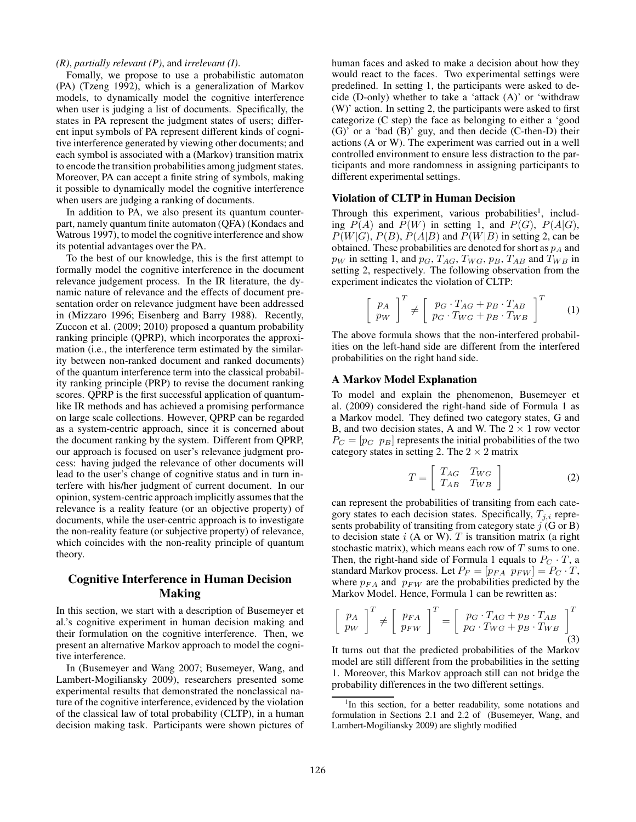## *(R)*, *partially relevant (P)*, and *irrelevant (I)*.

Fomally, we propose to use a probabilistic automaton (PA) (Tzeng 1992), which is a generalization of Markov models, to dynamically model the cognitive interference when user is judging a list of documents. Specifically, the states in PA represent the judgment states of users; different input symbols of PA represent different kinds of cognitive interference generated by viewing other documents; and each symbol is associated with a (Markov) transition matrix to encode the transition probabilities among judgment states. Moreover, PA can accept a finite string of symbols, making it possible to dynamically model the cognitive interference when users are judging a ranking of documents.

In addition to PA, we also present its quantum counterpart, namely quantum finite automaton (QFA) (Kondacs and Watrous 1997), to model the cognitive interference and show its potential advantages over the PA.

To the best of our knowledge, this is the first attempt to formally model the cognitive interference in the document relevance judgement process. In the IR literature, the dynamic nature of relevance and the effects of document presentation order on relevance judgment have been addressed in (Mizzaro 1996; Eisenberg and Barry 1988). Recently, Zuccon et al. (2009; 2010) proposed a quantum probability ranking principle (QPRP), which incorporates the approximation (i.e., the interference term estimated by the similarity between non-ranked document and ranked documents) of the quantum interference term into the classical probability ranking principle (PRP) to revise the document ranking scores. QPRP is the first successful application of quantumlike IR methods and has achieved a promising performance on large scale collections. However, QPRP can be regarded as a system-centric approach, since it is concerned about the document ranking by the system. Different from QPRP, our approach is focused on user's relevance judgment process: having judged the relevance of other documents will lead to the user's change of cognitive status and in turn interfere with his/her judgment of current document. In our opinion, system-centric approach implicitly assumes that the relevance is a reality feature (or an objective property) of documents, while the user-centric approach is to investigate the non-reality feature (or subjective property) of relevance, which coincides with the non-reality principle of quantum theory.

## Cognitive Interference in Human Decision Making

In this section, we start with a description of Busemeyer et al.'s cognitive experiment in human decision making and their formulation on the cognitive interference. Then, we present an alternative Markov approach to model the cognitive interference.

In (Busemeyer and Wang 2007; Busemeyer, Wang, and Lambert-Mogiliansky 2009), researchers presented some experimental results that demonstrated the nonclassical nature of the cognitive interference, evidenced by the violation of the classical law of total probability (CLTP), in a human decision making task. Participants were shown pictures of human faces and asked to make a decision about how they would react to the faces. Two experimental settings were predefined. In setting 1, the participants were asked to decide (D-only) whether to take a 'attack (A)' or 'withdraw (W)' action. In setting 2, the participants were asked to first categorize (C step) the face as belonging to either a 'good (G)' or a 'bad (B)' guy, and then decide (C-then-D) their actions (A or W). The experiment was carried out in a well controlled environment to ensure less distraction to the participants and more randomness in assigning participants to different experimental settings.

## Violation of CLTP in Human Decision

Through this experiment, various probabilities<sup>1</sup>, including  $\overline{P(A)}$  and  $\overline{P(W)}$  in setting 1, and  $P(G)$ ,  $P(A|G)$ ,  $P(W|G)$ ,  $P(B)$ ,  $P(A|B)$  and  $P(W|B)$  in setting 2, can be obtained. These probabilities are denoted for short as  $p_A$  and  $p_W$  in setting 1, and  $p_G$ ,  $T_{AG}$ ,  $T_{WG}$ ,  $p_B$ ,  $T_{AB}$  and  $T_{WB}$  in setting 2, respectively. The following observation from the experiment indicates the violation of CLTP:

$$
\left[\begin{array}{c}p_A\\pw\end{array}\right]^T \neq \left[\begin{array}{c}p_G\cdot T_{AG} + p_B\cdot T_{AB}\\p_G\cdot T_{WG} + p_B\cdot T_{WB}\end{array}\right]^T\tag{1}
$$

The above formula shows that the non-interfered probabilities on the left-hand side are different from the interfered probabilities on the right hand side.

## A Markov Model Explanation

To model and explain the phenomenon, Busemeyer et al. (2009) considered the right-hand side of Formula 1 as a Markov model. They defined two category states, G and B, and two decision states, A and W. The  $2 \times 1$  row vector  $P_C = [p_G \ p_B]$  represents the initial probabilities of the two category states in setting 2. The  $2 \times 2$  matrix

$$
T = \left[ \begin{array}{cc} T_{AG} & T_{WG} \\ T_{AB} & T_{WB} \end{array} \right] \tag{2}
$$

can represent the probabilities of transiting from each category states to each decision states. Specifically,  $T_{i,i}$  represents probability of transiting from category state  $j$  (G or B) to decision state  $i$  (A or W).  $T$  is transition matrix (a right stochastic matrix), which means each row of  $T$  sums to one. Then, the right-hand side of Formula 1 equals to  $P_C \cdot T$ , a standard Markov process. Let  $P_F = [p_{FA} \ p_{FW}] = P_C \cdot T$ , where  $p_{FA}$  and  $p_{FW}$  are the probabilities predicted by the Markov Model. Hence, Formula 1 can be rewritten as:

$$
\left[\begin{array}{c}p_A\\p_W\end{array}\right]^T \neq \left[\begin{array}{c}p_{FA}\\p_{FW}\end{array}\right]^T = \left[\begin{array}{c}p_G \cdot T_{AG} + p_B \cdot T_{AB}\\p_G \cdot T_{WG} + p_B \cdot T_{WB}\end{array}\right]^T_{(3)}
$$

It turns out that the predicted probabilities of the Markov model are still different from the probabilities in the setting 1. Moreover, this Markov approach still can not bridge the probability differences in the two different settings.

<sup>&</sup>lt;sup>1</sup>In this section, for a better readability, some notations and formulation in Sections 2.1 and 2.2 of (Busemeyer, Wang, and Lambert-Mogiliansky 2009) are slightly modified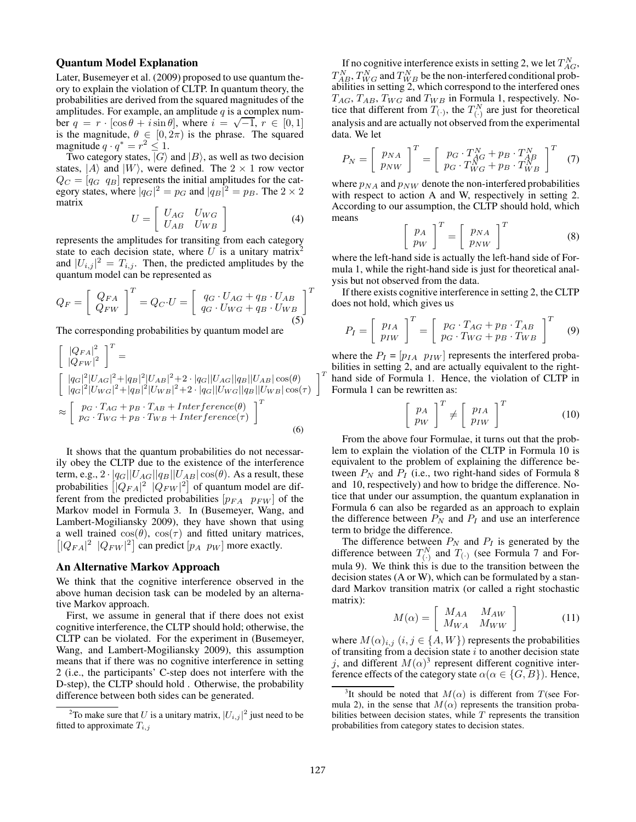### Quantum Model Explanation

Later, Busemeyer et al. (2009) proposed to use quantum theory to explain the violation of CLTP. In quantum theory, the probabilities are derived from the squared magnitudes of the amplitudes. For example, an amplitude  $q$  is a complex number  $q = r \cdot [\cos \theta + i \sin \theta]$ , where  $i = \sqrt{-1}$ ,  $r \in [0, 1]$ is the magnitude,  $\theta \in [0, 2\pi)$  is the phrase. The squared magnitude  $q \cdot q^* = r^2 \leq 1$ .

Two category states,  $|G\rangle$  and  $|B\rangle$ , as well as two decision states,  $|A\rangle$  and  $|W\rangle$ , were defined. The  $2 \times 1$  row vector  $Q_C = [q_G \ q_B]$  represents the initial amplitudes for the category states, where  $|q_G|^2 = p_G$  and  $|q_B|^2 = p_B$ . The  $2 \times 2$ matrix

$$
U = \left[ \begin{array}{cc} U_{AG} & U_{WG} \\ U_{AB} & U_{WB} \end{array} \right] \tag{4}
$$

represents the amplitudes for transiting from each category state to each decision state, where  $U$  is a unitary matrix<sup>2</sup> and  $|U_{i,j}|^2 = T_{i,j}$ . Then, the predicted amplitudes by the quantum model can be represented as

$$
Q_F = \left[ \begin{array}{c} Q_{FA} \\ Q_{FW} \end{array} \right]^T = Q_C \cdot U = \left[ \begin{array}{c} q_G \cdot U_{AG} + q_B \cdot U_{AB} \\ q_G \cdot U_{WG} + q_B \cdot U_{WB} \end{array} \right]^T \tag{5}
$$

The corresponding probabilities by quantum model are

$$
\begin{bmatrix} |Q_{FA}|^2 \ |Q_{FW}|^2 \end{bmatrix}^T =
$$
\n
$$
\begin{bmatrix} |q_G|^2 |U_{AG}|^2 + |q_B|^2 |U_{AB}|^2 + 2 \cdot |q_G||U_{AG}||q_B||U_{AB}|\cos(\theta) \\ |q_G|^2 |U_{WG}|^2 + |q_B|^2 |U_{WB}|^2 + 2 \cdot |q_G||U_{WG}||q_B||U_{WB}|\cos(\tau) \end{bmatrix}
$$
\n
$$
\approx \begin{bmatrix} p_G \cdot T_{AG} + p_B \cdot T_{AB} + Interference(\theta) \\ p_G \cdot T_{WG} + p_B \cdot T_{WB} + Interference(\tau) \end{bmatrix}^T
$$
\n(6)

It shows that the quantum probabilities do not necessarily obey the CLTP due to the existence of the interference term, e.g.,  $2 \cdot |q_G||U_{AG}||q_B||U_{AB}|\cos(\theta)$ . As a result, these probabilities  $\left[|Q_{FA}|^2 \right] |Q_{FW}|^2$  of quantum model are different from the predicted probabilities  $[p_{FA} \ p_{FW}]$  of the Markov model in Formula 3. In (Busemeyer, Wang, and Lambert-Mogiliansky 2009), they have shown that using a well trained  $cos(\theta)$ ,  $cos(\tau)$  and fitted unitary matrices,  $[|Q_{FA}|^2 \t |Q_{FW}|^2]$  can predict  $[p_A \t p_W]$  more exactly.

### An Alternative Markov Approach

We think that the cognitive interference observed in the above human decision task can be modeled by an alternative Markov approach.

First, we assume in general that if there does not exist cognitive interference, the CLTP should hold; otherwise, the CLTP can be violated. For the experiment in (Busemeyer, Wang, and Lambert-Mogiliansky 2009), this assumption means that if there was no cognitive interference in setting 2 (i.e., the participants' C-step does not interfere with the D-step), the CLTP should hold . Otherwise, the probability difference between both sides can be generated.

If no cognitive interference exists in setting 2, we let  $T_{AG}^N$ ,  $T_{AB}^N, T_{WG}^N$  and  $T_{WB}^N$  be the non-interfered conditional probabilities in setting 2, which correspond to the interfered ones  $T_{AG}$ ,  $T_{AB}$ ,  $T_{WG}$  and  $T_{WB}$  in Formula 1, respectively. Notice that different from  $T_{(\cdot)}$ , the  $T_{(\cdot)}^N$  are just for theoretical analysis and are actually not observed from the experimental data. We let

$$
P_N = \left[\begin{array}{c} p_{NA} \\ p_{NW} \end{array}\right]^T = \left[\begin{array}{c} p_G \cdot T_{AG}^N + p_B \cdot T_{AB}^N \\ p_G \cdot T_{WG}^N + p_B \cdot T_{WB}^N \end{array}\right]^T \tag{7}
$$

where  $p_{NA}$  and  $p_{NW}$  denote the non-interfered probabilities with respect to action A and W, respectively in setting 2. According to our assumption, the CLTP should hold, which means

$$
\left[\begin{array}{c} p_A \\ p_W \end{array}\right]^T = \left[\begin{array}{c} p_{NA} \\ p_{NW} \end{array}\right]^T \tag{8}
$$

where the left-hand side is actually the left-hand side of Formula 1, while the right-hand side is just for theoretical analysis but not observed from the data.

If there exists cognitive interference in setting 2, the CLTP does not hold, which gives us

$$
P_I = \left[ \begin{array}{c} p_{IA} \\ p_{IW} \end{array} \right]^T = \left[ \begin{array}{c} p_G \cdot T_{AG} + p_B \cdot T_{AB} \\ p_G \cdot T_{WG} + p_B \cdot T_{WB} \end{array} \right]^T \quad (9)
$$

where the  $P_I = [p_{IA} \ p_{IW}]$  represents the interfered probabilities in setting 2, and are actually equivalent to the righthand side of Formula 1. Hence, the violation of CLTP in Formula 1 can be rewritten as:

$$
\left[\begin{array}{c} p_A \\ p_W \end{array}\right]^T \neq \left[\begin{array}{c} p_{IA} \\ p_{IW} \end{array}\right]^T \tag{10}
$$

From the above four Formulae, it turns out that the problem to explain the violation of the CLTP in Formula 10 is equivalent to the problem of explaining the difference between  $P_N$  and  $P_I$  (i.e., two right-hand sides of Formula 8 and 10, respectively) and how to bridge the difference. Notice that under our assumption, the quantum explanation in Formula 6 can also be regarded as an approach to explain the difference between  $P_N$  and  $P_I$  and use an interference term to bridge the difference.

The difference between  $P_N$  and  $P_I$  is generated by the difference between  $T_{(.)}^N$  and  $T_{(.)}$  (see Formula 7 and Formula 9). We think this is due to the transition between the decision states (A or W), which can be formulated by a standard Markov transition matrix (or called a right stochastic matrix):

$$
M(\alpha) = \left[ \begin{array}{cc} M_{AA} & M_{AW} \\ M_{WA} & M_{WW} \end{array} \right] \tag{11}
$$

where  $M(\alpha)_{i,j}$   $(i, j \in \{A, W\})$  represents the probabilities of transiting from a decision state  $i$  to another decision state j, and different  $M(\alpha)^3$  represent different cognitive interference effects of the category state  $\alpha(\alpha \in \{G, B\})$ . Hence,

 $\overline{T}$ 

<sup>&</sup>lt;sup>2</sup>To make sure that U is a unitary matrix,  $|U_{i,j}|^2$  just need to be fitted to approximate  $T_{i,j}$ 

<sup>&</sup>lt;sup>3</sup>It should be noted that  $M(\alpha)$  is different from T(see Formula 2), in the sense that  $M(\alpha)$  represents the transition probabilities between decision states, while  $T$  represents the transition probabilities from category states to decision states.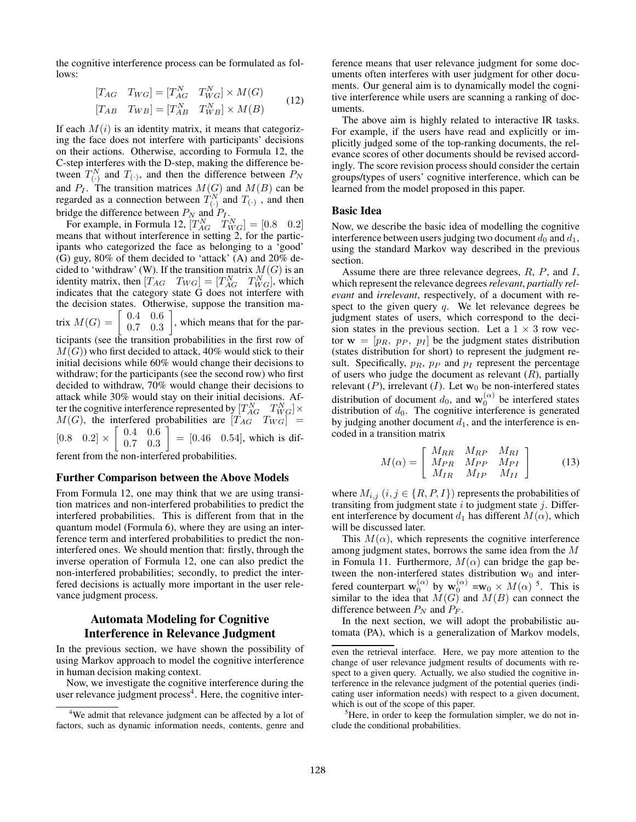the cognitive interference process can be formulated as follows:

$$
\begin{aligned}\n[T_{AG} & T_{WG}] = [T_{AG}^N & T_{WG}^N] \times M(G) \\
[T_{AB} & T_{WB}] = [T_{AB}^N & T_{WB}^N] \times M(B)\n\end{aligned} \tag{12}
$$

If each  $M(i)$  is an identity matrix, it means that categorizing the face does not interfere with participants' decisions on their actions. Otherwise, according to Formula 12, the C-step interferes with the D-step, making the difference between  $T_{(.)}^N$  and  $T_{(.)}$ , and then the difference between  $P_N$ and  $P_I$ . The transition matrices  $M(G)$  and  $M(B)$  can be regarded as a connection between  $T_{(.)}^{N}$  and  $T_{(.)}$ , and then bridge the difference between  $P_N$  and  $P_I$ .

For example, in Formula 12,  $[T_{AG}^N \quad T_{WG}^N] = [0.8 \quad 0.2]$ means that without interference in setting 2, for the participants who categorized the face as belonging to a 'good' (G) guy, 80% of them decided to 'attack' (A) and 20% decided to 'withdraw' (W). If the transition matrix  $M(G)$  is an identity matrix, then  $[T_{AG} \quad T_{WG}] = [T_{AG}^N \quad T_{WG}^N]$ , which indicates that the category state G does not interfere with the decision states. Otherwise, suppose the transition matrix  $M(G) =$ 0.4 0.6 0.7 0.3 1 , which means that for the participants (see the transition probabilities in the first row of

 $M(G)$ ) who first decided to attack, 40% would stick to their initial decisions while 60% would change their decisions to withdraw; for the participants (see the second row) who first decided to withdraw, 70% would change their decisions to attack while 30% would stay on their initial decisions. After the cognitive interference represented by  $[T_{AG}^N \ T_{WG}^N] \times$  $M(G)$ , the interfered probabilities are  $[T_{AG}$   $T_{WG}]$  =  $[0.8 \ 0.2] \times$  $\sqrt{2}$ 0.4 0.6 0.7 0.3 1  $= [0.46 \ 0.54]$ , which is different from the non-interfered probabilities.

### Further Comparison between the Above Models

From Formula 12, one may think that we are using transition matrices and non-interfered probabilities to predict the interfered probabilities. This is different from that in the quantum model (Formula 6), where they are using an interference term and interfered probabilities to predict the noninterfered ones. We should mention that: firstly, through the inverse operation of Formula 12, one can also predict the non-interfered probabilities; secondly, to predict the interfered decisions is actually more important in the user relevance judgment process.

## Automata Modeling for Cognitive Interference in Relevance Judgment

In the previous section, we have shown the possibility of using Markov approach to model the cognitive interference in human decision making context.

Now, we investigate the cognitive interference during the user relevance judgment process<sup>4</sup>. Here, the cognitive interference means that user relevance judgment for some documents often interferes with user judgment for other documents. Our general aim is to dynamically model the cognitive interference while users are scanning a ranking of documents.

The above aim is highly related to interactive IR tasks. For example, if the users have read and explicitly or implicitly judged some of the top-ranking documents, the relevance scores of other documents should be revised accordingly. The score revision process should consider the certain groups/types of users' cognitive interference, which can be learned from the model proposed in this paper.

### Basic Idea

Now, we describe the basic idea of modelling the cognitive interference between users judging two document  $d_0$  and  $d_1$ , using the standard Markov way described in the previous section.

Assume there are three relevance degrees,  $R$ ,  $P$ , and  $I$ , which represent the relevance degrees*relevant*, *partially relevant* and *irrelevant*, respectively, of a document with respect to the given query  $q$ . We let relevance degrees be judgment states of users, which correspond to the decision states in the previous section. Let a  $1 \times 3$  row vector  $\mathbf{w} = [p_R, p_P, p_I]$  be the judgment states distribution (states distribution for short) to represent the judgment result. Specifically,  $p_R$ ,  $p_P$  and  $p_I$  represent the percentage of users who judge the document as relevant  $(R)$ , partially relevant  $(P)$ , irrelevant  $(I)$ . Let  $w_0$  be non-interfered states distribution of document  $d_0$ , and  $\mathbf{w}_0^{(\alpha)}$  be interfered states distribution of  $d_0$ . The cognitive interference is generated by judging another document  $d_1$ , and the interference is encoded in a transition matrix

$$
M(\alpha) = \left[ \begin{array}{cc} M_{RR} & M_{RP} & M_{RI} \\ M_{PR} & M_{PP} & M_{PI} \\ M_{IR} & M_{IP} & M_{II} \end{array} \right] \tag{13}
$$

where  $M_{i,j}$   $(i, j \in \{R, P, I\})$  represents the probabilities of transiting from judgment state  $i$  to judgment state  $j$ . Different interference by document  $d_1$  has different  $M(\alpha)$ , which will be discussed later.

This  $M(\alpha)$ , which represents the cognitive interference among judgment states, borrows the same idea from the M in Fomula 11. Furthermore,  $M(\alpha)$  can bridge the gap between the non-interfered states distribution  $w_0$  and interfered counterpart  $\mathbf{w}_0^{(\alpha)}$  by  $\mathbf{w}_0^{(\alpha)} = \mathbf{w}_0 \times M(\alpha)^5$ . This is similar to the idea that  $M(G)$  and  $M(B)$  can connect the difference between  $P_N$  and  $P_F$ .

In the next section, we will adopt the probabilistic automata (PA), which is a generalization of Markov models,

<sup>&</sup>lt;sup>4</sup>We admit that relevance judgment can be affected by a lot of factors, such as dynamic information needs, contents, genre and

even the retrieval interface. Here, we pay more attention to the change of user relevance judgment results of documents with respect to a given query. Actually, we also studied the cognitive interference in the relevance judgment of the potential queries (indicating user information needs) with respect to a given document, which is out of the scope of this paper.

<sup>&</sup>lt;sup>5</sup>Here, in order to keep the formulation simpler, we do not include the conditional probabilities.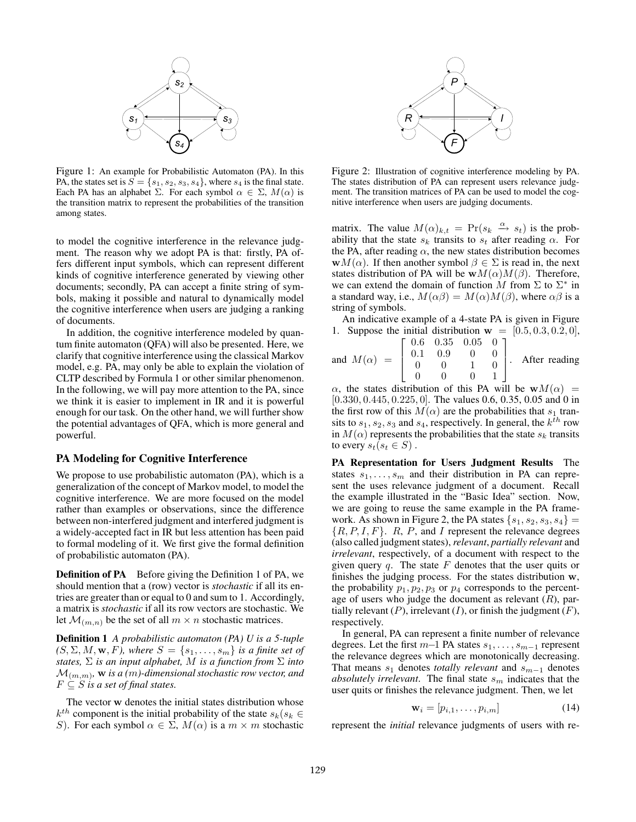

Figure 1: An example for Probabilistic Automaton (PA). In this PA, the states set is  $S = \{s_1, s_2, s_3, s_4\}$ , where  $s_4$  is the final state. Each PA has an alphabet  $\Sigma$ . For each symbol  $\alpha \in \Sigma$ ,  $M(\alpha)$  is the transition matrix to represent the probabilities of the transition among states.

to model the cognitive interference in the relevance judgment. The reason why we adopt PA is that: firstly, PA offers different input symbols, which can represent different kinds of cognitive interference generated by viewing other documents; secondly, PA can accept a finite string of symbols, making it possible and natural to dynamically model the cognitive interference when users are judging a ranking of documents.

In addition, the cognitive interference modeled by quantum finite automaton (QFA) will also be presented. Here, we clarify that cognitive interference using the classical Markov model, e.g. PA, may only be able to explain the violation of CLTP described by Formula 1 or other similar phenomenon. In the following, we will pay more attention to the PA, since we think it is easier to implement in IR and it is powerful enough for our task. On the other hand, we will further show the potential advantages of QFA, which is more general and powerful.

## PA Modeling for Cognitive Interference

We propose to use probabilistic automaton (PA), which is a generalization of the concept of Markov model, to model the cognitive interference. We are more focused on the model rather than examples or observations, since the difference between non-interfered judgment and interfered judgment is a widely-accepted fact in IR but less attention has been paid to formal modeling of it. We first give the formal definition of probabilistic automaton (PA).

**Definition of PA** Before giving the Definition 1 of PA, we should mention that a (row) vector is *stochastic* if all its entries are greater than or equal to 0 and sum to 1. Accordingly, a matrix is *stochastic* if all its row vectors are stochastic. We let  $\mathcal{M}_{(m,n)}$  be the set of all  $m \times n$  stochastic matrices.

Definition 1 *A probabilistic automaton (PA) U is a 5-tuple*  $(S, \Sigma, M, \mathbf{w}, F)$ , where  $S = \{s_1, \ldots, s_m\}$  *is a finite set of states,* Σ *is an input alphabet,* M *is a function from* Σ *into*  $\mathcal{M}_{(m,m)}$ , **w** *is a (m)-dimensional stochastic row vector, and*  $F \subseteq S$  *is a set of final states.* 

The vector **w** denotes the initial states distribution whose  $k^{th}$  component is the initial probability of the state  $s_k(s_k) \in$ S). For each symbol  $\alpha \in \Sigma$ ,  $M(\alpha)$  is a  $m \times m$  stochastic



Figure 2: Illustration of cognitive interference modeling by PA. The states distribution of PA can represent users relevance judgment. The transition matrices of PA can be used to model the cognitive interference when users are judging documents.

matrix. The value  $M(\alpha)_{k,t} = \Pr(s_k \overset{\alpha}{\longrightarrow} s_t)$  is the probability that the state  $s_k$  transits to  $s_t$  after reading  $\alpha$ . For the PA, after reading  $\alpha$ , the new states distribution becomes **w**M( $\alpha$ ). If then another symbol  $\beta \in \Sigma$  is read in, the next states distribution of PA will be  $wM(\alpha)M(\beta)$ . Therefore, we can extend the domain of function M from  $\Sigma$  to  $\Sigma^*$  in a standard way, i.e.,  $M(\alpha\beta) = M(\alpha)M(\beta)$ , where  $\alpha\beta$  is a string of symbols.

An indicative example of a 4-state PA is given in Figure 1. Suppose the initial distribution  $\mathbf{w} = [0.5, 0.3, 0.2, 0],$ 

and  $M(\alpha)$  =  $\sqrt{ }$  $\blacksquare$  $\overline{a}$  $0.6$   $0.35$   $0.05$   $0$  ]  $\begin{array}{cccc} 0.1 & 0.9 & 0 & 0 \\ 0 & 0 & 1 & 0 \end{array}$  $0 \t 0 \t 1 \t 0$  $0 \t 0 \t 0 \t 1$  $\overline{a}$ After reading

 $\alpha$ , the states distribution of this PA will be  $wM(\alpha)$  = [0.330, 0.445, 0.225, 0]. The values 0.6, 0.35, 0.05 and 0 in the first row of this  $M(\alpha)$  are the probabilities that  $s_1$  transits to  $s_1, s_2, s_3$  and  $s_4$ , respectively. In general, the  $k^{th}$  row in  $M(\alpha)$  represents the probabilities that the state  $s_k$  transits to every  $s_t(s_t \in S)$ .

PA Representation for Users Judgment Results The states  $s_1, \ldots, s_m$  and their distribution in PA can represent the uses relevance judgment of a document. Recall the example illustrated in the "Basic Idea" section. Now, we are going to reuse the same example in the PA framework. As shown in Figure 2, the PA states  $\{s_1, s_2, s_3, s_4\}$  =  $\{R, P, I, F\}$ . R, P, and I represent the relevance degrees (also called judgment states), *relevant*, *partially relevant* and *irrelevant*, respectively, of a document with respect to the given query  $q$ . The state  $F$  denotes that the user quits or finishes the judging process. For the states distribution **w**, the probability  $p_1, p_2, p_3$  or  $p_4$  corresponds to the percentage of users who judge the document as relevant  $(R)$ , partially relevant  $(P)$ , irrelevant  $(I)$ , or finish the judgment  $(F)$ , respectively.

In general, PA can represent a finite number of relevance degrees. Let the first  $m-1$  PA states  $s_1, \ldots, s_{m-1}$  represent the relevance degrees which are monotonically decreasing. That means  $s_1$  denotes *totally relevant* and  $s_{m-1}$  denotes *absolutely irrelevant*. The final state  $s_m$  indicates that the user quits or finishes the relevance judgment. Then, we let

$$
\mathbf{w}_i = [p_{i,1}, \dots, p_{i,m}] \tag{14}
$$

represent the *initial* relevance judgments of users with re-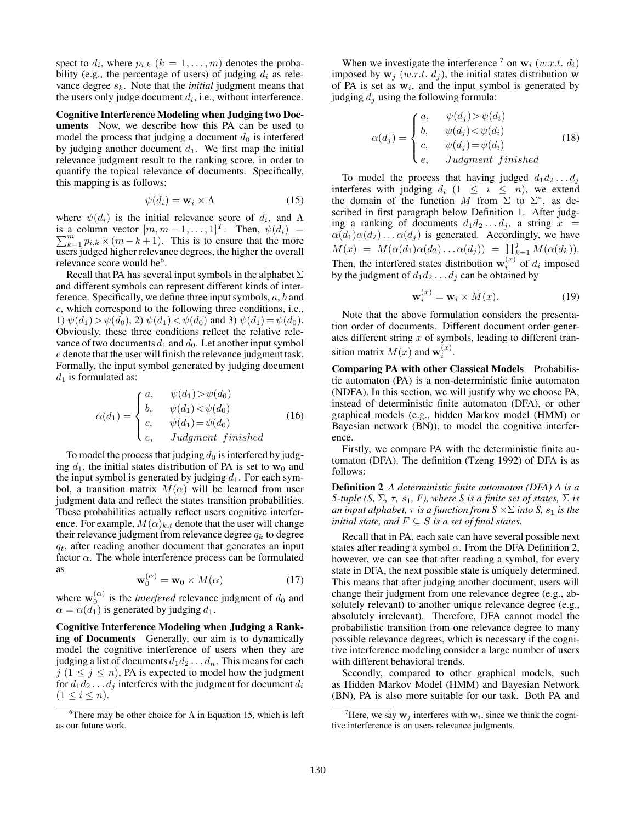spect to  $d_i$ , where  $p_{i,k}$   $(k = 1, \ldots, m)$  denotes the probability (e.g., the percentage of users) of judging  $d_i$  as relevance degree  $s_k$ . Note that the *initial* judgment means that the users only judge document  $d_i$ , i.e., without interference.

Cognitive Interference Modeling when Judging two Documents Now, we describe how this PA can be used to model the process that judging a document  $d_0$  is interfered by judging another document  $d_1$ . We first map the initial relevance judgment result to the ranking score, in order to quantify the topical relevance of documents. Specifically, this mapping is as follows:

$$
\psi(d_i) = \mathbf{w}_i \times \Lambda \tag{15}
$$

where  $\psi(d_i)$  is the initial relevance score of  $d_i$ , and  $\Lambda$ is a column vector  $[m, m-1, \dots, 1]^T$ . Then,  $\psi(d_i) = \sum_{k=1}^{m} p_i k \times (m-k+1)$ . This is to ensure that the more  $_{k=1}^{m} p_{i,k} \times (m-k+1)$ . This is to ensure that the more users judged higher relevance degrees, the higher the overall relevance score would be<sup>6</sup>.

Recall that PA has several input symbols in the alphabet  $\Sigma$ and different symbols can represent different kinds of interference. Specifically, we define three input symbols,  $a, b$  and c, which correspond to the following three conditions, i.e., 1)  $\psi(d_1) > \psi(d_0)$ , 2)  $\psi(d_1) < \psi(d_0)$  and 3)  $\psi(d_1) = \psi(d_0)$ . Obviously, these three conditions reflect the relative relevance of two documents  $d_1$  and  $d_0$ . Let another input symbol e denote that the user will finish the relevance judgment task. Formally, the input symbol generated by judging document  $d_1$  is formulated as:

$$
\alpha(d_1) = \begin{cases}\n a, & \psi(d_1) > \psi(d_0) \\
 b, & \psi(d_1) < \psi(d_0) \\
 c, & \psi(d_1) = \psi(d_0) \\
 e, & Judgment\ finished\n\end{cases}
$$
\n(16)

To model the process that judging  $d_0$  is interfered by judging  $d_1$ , the initial states distribution of PA is set to  $w_0$  and the input symbol is generated by judging  $d_1$ . For each symbol, a transition matrix  $M(\alpha)$  will be learned from user judgment data and reflect the states transition probabilities. These probabilities actually reflect users cognitive interference. For example,  $M(\alpha)_{k,t}$  denote that the user will change their relevance judgment from relevance degree  $q_k$  to degree  $q_t$ , after reading another document that generates an input factor  $\alpha$ . The whole interference process can be formulated as

$$
\mathbf{w}_0^{(\alpha)} = \mathbf{w}_0 \times M(\alpha) \tag{17}
$$

where  $\mathbf{w}_0^{(\alpha)}$  is the *interfered* relevance judgment of  $d_0$  and  $\alpha = \alpha(d_1)$  is generated by judging  $d_1$ .

Cognitive Interference Modeling when Judging a Ranking of Documents Generally, our aim is to dynamically model the cognitive interference of users when they are judging a list of documents  $d_1 d_2 \ldots d_n$ . This means for each  $j$  ( $1 \le j \le n$ ), PA is expected to model how the judgment for  $d_1d_2 \ldots d_j$  interferes with the judgment for document  $d_i$  $(1 \leq i \leq n).$ 

When we investigate the interference  $\bar{f}$  on  $w_i$  (w.r.t.  $d_i$ ) imposed by  $\mathbf{w}_j$  (w.r.t.  $d_j$ ), the initial states distribution **w** of PA is set as  $w_i$ , and the input symbol is generated by judging  $d_j$  using the following formula:

$$
\alpha(d_j) = \begin{cases}\na, & \psi(d_j) > \psi(d_i) \\
b, & \psi(d_j) < \psi(d_i) \\
c, & \psi(d_j) = \psi(d_i) \\
e, & Judgment\ finished\n\end{cases}
$$
\n(18)

To model the process that having judged  $d_1 d_2 \ldots d_j$ interferes with judging  $d_i$  (1  $\leq i \leq n$ ), we extend<br>the domain of the function M from  $\Sigma$  to  $\Sigma^*$ , as described in first paragraph below Definition 1. After judging a ranking of documents  $d_1 d_2 \ldots d_j$ , a string  $x =$  $\alpha(d_1)\alpha(d_2)\dots\alpha(d_j)$  is generated. Accordingly, we have  $M(x) = M(\alpha(d_1)\alpha(d_2) \ldots \alpha(d_j)) = \prod_{k=1}^{j} M(\alpha(d_k)).$ Then, the interfered states distribution  $\mathbf{w}_i^{(x)}$  of  $d_i$  imposed by the judgment of  $d_1 d_2 \ldots d_j$  can be obtained by

$$
\mathbf{w}_i^{(x)} = \mathbf{w}_i \times M(x). \tag{19}
$$

Note that the above formulation considers the presentation order of documents. Different document order generates different string  $x$  of symbols, leading to different transition matrix  $M(x)$  and  $\mathbf{w}_i^{(x)}$ .

Comparing PA with other Classical Models Probabilistic automaton (PA) is a non-deterministic finite automaton (NDFA). In this section, we will justify why we choose PA, instead of deterministic finite automaton (DFA), or other graphical models (e.g., hidden Markov model (HMM) or Bayesian network (BN)), to model the cognitive interference.

Firstly, we compare PA with the deterministic finite automaton (DFA). The definition (Tzeng 1992) of DFA is as follows:

Definition 2 *A deterministic finite automaton (DFA) A is a 5-tuple (S,*  $\Sigma$ *,*  $\tau$ *, s<sub>1</sub>, F), where S is a finite set of states,*  $\Sigma$  *is an input alphabet,*  $\tau$  *is a function from S*  $\times \Sigma$  *into S, s*<sub>1</sub> *is the initial state, and*  $F \subseteq S$  *is a set of final states.* 

Recall that in PA, each sate can have several possible next states after reading a symbol  $\alpha$ . From the DFA Definition 2, however, we can see that after reading a symbol, for every state in DFA, the next possible state is uniquely determined. This means that after judging another document, users will change their judgment from one relevance degree (e.g., absolutely relevant) to another unique relevance degree (e.g., absolutely irrelevant). Therefore, DFA cannot model the probabilistic transition from one relevance degree to many possible relevance degrees, which is necessary if the cognitive interference modeling consider a large number of users with different behavioral trends.

Secondly, compared to other graphical models, such as Hidden Markov Model (HMM) and Bayesian Network (BN), PA is also more suitable for our task. Both PA and

<sup>&</sup>lt;sup>6</sup>There may be other choice for  $\Lambda$  in Equation 15, which is left as our future work.

<sup>&</sup>lt;sup>7</sup>Here, we say  $w_j$  interferes with  $w_i$ , since we think the cognitive interference is on users relevance judgments.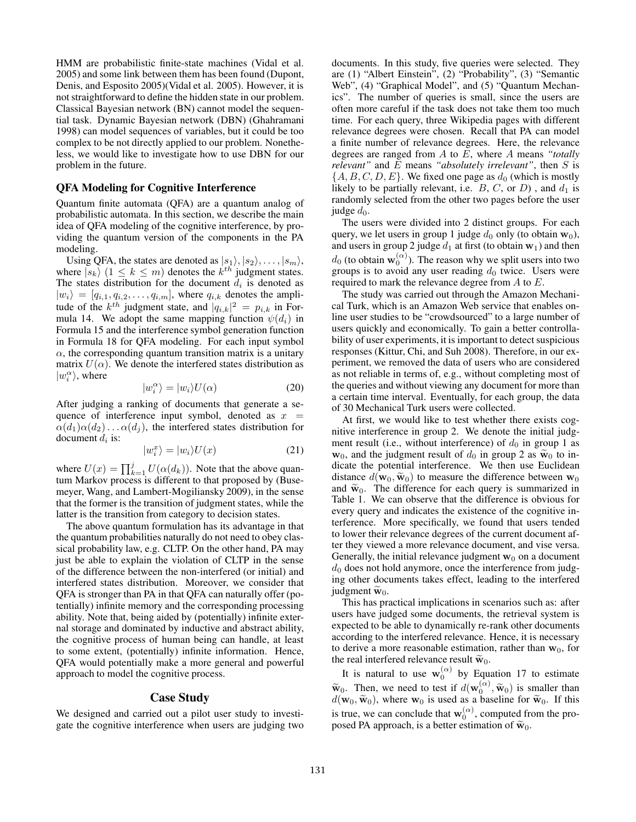HMM are probabilistic finite-state machines (Vidal et al. 2005) and some link between them has been found (Dupont, Denis, and Esposito 2005)(Vidal et al. 2005). However, it is not straightforward to define the hidden state in our problem. Classical Bayesian network (BN) cannot model the sequential task. Dynamic Bayesian network (DBN) (Ghahramani 1998) can model sequences of variables, but it could be too complex to be not directly applied to our problem. Nonetheless, we would like to investigate how to use DBN for our problem in the future.

### QFA Modeling for Cognitive Interference

Quantum finite automata (QFA) are a quantum analog of probabilistic automata. In this section, we describe the main idea of QFA modeling of the cognitive interference, by providing the quantum version of the components in the PA modeling.

Using QFA, the states are denoted as  $|s_1\rangle, |s_2\rangle, \ldots, |s_m\rangle$ , where  $|s_k\rangle$   $(1 \leq k \leq m)$  denotes the  $k^{th}$  judgment states. The states distribution for the document  $d_i$  is denoted as  $|w_i\rangle = [q_{i,1}, q_{i,2}, \dots, q_{i,m}],$  where  $q_{i,k}$  denotes the amplitude of the  $k^{th}$  judgment state, and  $|q_{i,k}|^2 = p_{i,k}$  in Formula 14. We adopt the same mapping function  $\psi(d_i)$  in Formula 15 and the interference symbol generation function in Formula 18 for QFA modeling. For each input symbol  $\alpha$ , the corresponding quantum transition matrix is a unitary matrix  $U(\alpha)$ . We denote the interfered states distribution as  $|w_i^{\alpha}\rangle$ , where

$$
|w_i^{\alpha}\rangle = |w_i\rangle U(\alpha) \tag{20}
$$

After judging a ranking of documents that generate a sequence of interference input symbol, denoted as  $x =$  $\alpha(d_1)\alpha(d_2)\dots\alpha(d_i)$ , the interfered states distribution for document  $d_i$  is:

$$
|w_i^x\rangle = |w_i\rangle U(x) \tag{21}
$$

where  $U(x) = \prod_{k=1}^{j} U(\alpha(d_k))$ . Note that the above quantum Markov process is different to that proposed by (Busemeyer, Wang, and Lambert-Mogiliansky 2009), in the sense that the former is the transition of judgment states, while the latter is the transition from category to decision states.

The above quantum formulation has its advantage in that the quantum probabilities naturally do not need to obey classical probability law, e.g. CLTP. On the other hand, PA may just be able to explain the violation of CLTP in the sense of the difference between the non-interfered (or initial) and interfered states distribution. Moreover, we consider that QFA is stronger than PA in that QFA can naturally offer (potentially) infinite memory and the corresponding processing ability. Note that, being aided by (potentially) infinite external storage and dominated by inductive and abstract ability, the cognitive process of human being can handle, at least to some extent, (potentially) infinite information. Hence, QFA would potentially make a more general and powerful approach to model the cognitive process.

#### Case Study

We designed and carried out a pilot user study to investigate the cognitive interference when users are judging two documents. In this study, five queries were selected. They are (1) "Albert Einstein", (2) "Probability", (3) "Semantic Web", (4) "Graphical Model", and (5) "Quantum Mechanics". The number of queries is small, since the users are often more careful if the task does not take them too much time. For each query, three Wikipedia pages with different relevance degrees were chosen. Recall that PA can model a finite number of relevance degrees. Here, the relevance degrees are ranged from A to E, where A means *"totally relevant"* and E means *"absolutely irrelevant"*, then S is  $\{A, B, C, D, E\}$ . We fixed one page as  $d_0$  (which is mostly likely to be partially relevant, i.e.  $B, C,$  or  $D$ ), and  $d_1$  is randomly selected from the other two pages before the user judge  $d_0$ .

The users were divided into 2 distinct groups. For each query, we let users in group 1 judge  $d_0$  only (to obtain  $\mathbf{w}_0$ ), and users in group 2 judge  $d_1$  at first (to obtain  $w_1$ ) and then  $d_0$  (to obtain  $\mathbf{w}_0^{(\alpha)}$ ). The reason why we split users into two groups is to avoid any user reading  $d_0$  twice. Users were required to mark the relevance degree from A to E.

The study was carried out through the Amazon Mechanical Turk, which is an Amazon Web service that enables online user studies to be "crowdsourced" to a large number of users quickly and economically. To gain a better controllability of user experiments, it is important to detect suspicious responses (Kittur, Chi, and Suh 2008). Therefore, in our experiment, we removed the data of users who are considered as not reliable in terms of, e.g., without completing most of the queries and without viewing any document for more than a certain time interval. Eventually, for each group, the data of 30 Mechanical Turk users were collected.

At first, we would like to test whether there exists cognitive interference in group 2. We denote the initial judgment result (i.e., without interference) of  $d_0$  in group 1 as  $\mathbf{w}_0$ , and the judgment result of  $d_0$  in group 2 as  $\widetilde{\mathbf{w}}_0$  to indicate the potential interference. We then use Euclidean distance  $d(\mathbf{w}_0, \widetilde{\mathbf{w}}_0)$  to measure the difference between  $\mathbf{w}_0$ and  $\widetilde{\mathbf{w}}_0$ . The difference for each query is summarized in Table 1. We can observe that the difference is obvious for every query and indicates the existence of the cognitive interference. More specifically, we found that users tended to lower their relevance degrees of the current document after they viewed a more relevance document, and vise versa. Generally, the initial relevance judgment  $w_0$  on a document  $d_0$  does not hold anymore, once the interference from judging other documents takes effect, leading to the interfered judgment  $\tilde{\mathbf{w}}_0$ .

This has practical implications in scenarios such as: after users have judged some documents, the retrieval system is expected to be able to dynamically re-rank other documents according to the interfered relevance. Hence, it is necessary to derive a more reasonable estimation, rather than  $w_0$ , for the real interfered relevance result  $\tilde{\mathbf{w}}_0$ .

It is natural to use  $w_0^{(\alpha)}$  by Equation 17 to estimate  $\widetilde{\mathbf{w}}_0$ . Then, we need to test if  $d(\mathbf{w}_0^{(\alpha)}, \widetilde{\mathbf{w}}_0)$  is smaller than  $d(\mathbf{w}_0, \widetilde{\mathbf{w}}_0)$ , where  $\mathbf{w}_0$  is used as a baseline for  $\widetilde{\mathbf{w}}_0$ . If this is true, we can conclude that  $\mathbf{w}_0^{(\alpha)}$ , computed from the proposed PA approach, is a better estimation of  $\tilde{w}_0$ .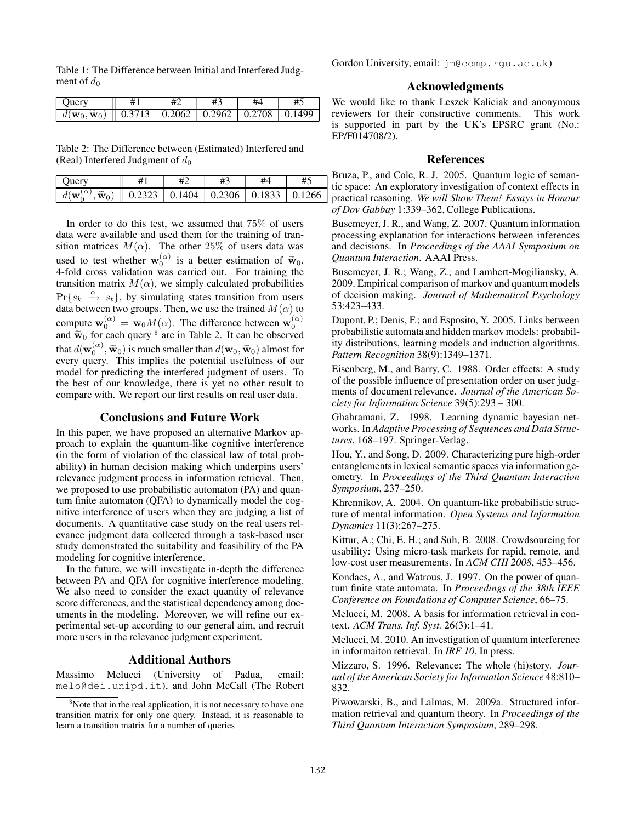Table 1: The Difference between Initial and Interfered Judgment of  $d_0$ 

| <b>Ouerv</b>                                                                                 |  |  |  |
|----------------------------------------------------------------------------------------------|--|--|--|
| $  d(\mathbf{w}_0, \widetilde{\mathbf{w}}_0)     0.3713   0.2062   0.2962   0.2708   0.1499$ |  |  |  |
|                                                                                              |  |  |  |

Table 2: The Difference between (Estimated) Interfered and (Real) Interfered Judgment of  $d_0$ 

| Juerv                                      | #1 | #3                                  | #5     |
|--------------------------------------------|----|-------------------------------------|--------|
| $\sim$ .<br>Ш<br>$\mathbf{w}_0$ )<br>$d_1$ |    | $0.2323$   0.1404   0.2306   0.1833 | 0.1266 |

In order to do this test, we assumed that 75% of users data were available and used them for the training of transition matrices  $M(\alpha)$ . The other 25% of users data was used to test whether  $\mathbf{w}_0^{(\alpha)}$  is a better estimation of  $\tilde{\mathbf{w}}_0$ . 4-fold cross validation was carried out. For training the transition matrix  $M(\alpha)$ , we simply calculated probabilities  $Pr{s_k \xrightarrow{\alpha} s_t}$ , by simulating states transition from users data between two groups. Then, we use the trained  $M(\alpha)$  to compute  $\mathbf{w}_0^{(\alpha)} = \mathbf{w}_0 M(\alpha)$ . The difference between  $\mathbf{w}_0^{(\alpha)}$  and  $\widetilde{\mathbf{w}}_0$  for each query <sup>8</sup> are in Table 2. It can be observed that  $d(\mathbf{w}_0^{(\alpha)}, \widetilde{\mathbf{w}}_0)$  is much smaller than  $d(\mathbf{w}_0, \widetilde{\mathbf{w}}_0)$  almost for events when  $\mathbf{w}_0$  is implies the potential usefulness of our every query. This implies the potential usefulness of our model for predicting the interfered judgment of users. To the best of our knowledge, there is yet no other result to compare with. We report our first results on real user data.

## Conclusions and Future Work

In this paper, we have proposed an alternative Markov approach to explain the quantum-like cognitive interference (in the form of violation of the classical law of total probability) in human decision making which underpins users' relevance judgment process in information retrieval. Then, we proposed to use probabilistic automaton (PA) and quantum finite automaton (QFA) to dynamically model the cognitive interference of users when they are judging a list of documents. A quantitative case study on the real users relevance judgment data collected through a task-based user study demonstrated the suitability and feasibility of the PA modeling for cognitive interference.

In the future, we will investigate in-depth the difference between PA and QFA for cognitive interference modeling. We also need to consider the exact quantity of relevance score differences, and the statistical dependency among documents in the modeling. Moreover, we will refine our experimental set-up according to our general aim, and recruit more users in the relevance judgment experiment.

### Additional Authors

Massimo Melucci (University of Padua, email: melo@dei.unipd.it), and John McCall (The Robert Gordon University, email: jm@comp.rgu.ac.uk)

## Acknowledgments

We would like to thank Leszek Kaliciak and anonymous reviewers for their constructive comments. This work is supported in part by the UK's EPSRC grant (No.: EP/F014708/2).

## References

Bruza, P., and Cole, R. J. 2005. Quantum logic of semantic space: An exploratory investigation of context effects in practical reasoning. *We will Show Them! Essays in Honour of Dov Gabbay* 1:339–362, College Publications.

Busemeyer, J. R., and Wang, Z. 2007. Quantum information processing explanation for interactions between inferences and decisions. In *Proceedings of the AAAI Symposium on Quantum Interaction*. AAAI Press.

Busemeyer, J. R.; Wang, Z.; and Lambert-Mogiliansky, A. 2009. Empirical comparison of markov and quantum models of decision making. *Journal of Mathematical Psychology* 53:423–433.

Dupont, P.; Denis, F.; and Esposito, Y. 2005. Links between probabilistic automata and hidden markov models: probability distributions, learning models and induction algorithms. *Pattern Recognition* 38(9):1349–1371.

Eisenberg, M., and Barry, C. 1988. Order effects: A study of the possible influence of presentation order on user judgments of document relevance. *Journal of the American Society for Information Science* 39(5):293 – 300.

Ghahramani, Z. 1998. Learning dynamic bayesian networks. In *Adaptive Processing of Sequences and Data Structures*, 168–197. Springer-Verlag.

Hou, Y., and Song, D. 2009. Characterizing pure high-order entanglements in lexical semantic spaces via information geometry. In *Proceedings of the Third Quantum Interaction Symposium*, 237–250.

Khrennikov, A. 2004. On quantum-like probabilistic structure of mental information. *Open Systems and Information Dynamics* 11(3):267–275.

Kittur, A.; Chi, E. H.; and Suh, B. 2008. Crowdsourcing for usability: Using micro-task markets for rapid, remote, and low-cost user measurements. In *ACM CHI 2008*, 453–456.

Kondacs, A., and Watrous, J. 1997. On the power of quantum finite state automata. In *Proceedings of the 38th IEEE Conference on Foundations of Computer Science*, 66–75.

Melucci, M. 2008. A basis for information retrieval in context. *ACM Trans. Inf. Syst.* 26(3):1–41.

Melucci, M. 2010. An investigation of quantum interference in informaiton retrieval. In *IRF 10*, In press.

Mizzaro, S. 1996. Relevance: The whole (hi)story. *Journal of the American Society for Information Science* 48:810– 832.

Piwowarski, B., and Lalmas, M. 2009a. Structured information retrieval and quantum theory. In *Proceedings of the Third Quantum Interaction Symposium*, 289–298.

<sup>&</sup>lt;sup>8</sup>Note that in the real application, it is not necessary to have one transition matrix for only one query. Instead, it is reasonable to learn a transition matrix for a number of queries